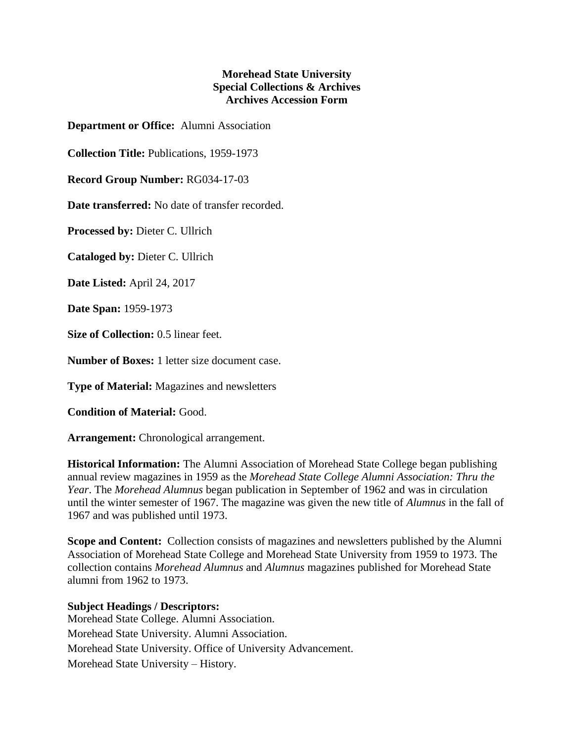## **Morehead State University Special Collections & Archives Archives Accession Form**

**Department or Office:** Alumni Association

**Collection Title:** Publications, 1959-1973

**Record Group Number:** RG034-17-03

**Date transferred:** No date of transfer recorded.

**Processed by:** Dieter C. Ullrich

**Cataloged by:** Dieter C. Ullrich

**Date Listed:** April 24, 2017

**Date Span:** 1959-1973

**Size of Collection:** 0.5 linear feet.

**Number of Boxes:** 1 letter size document case.

**Type of Material:** Magazines and newsletters

**Condition of Material:** Good.

**Arrangement:** Chronological arrangement.

**Historical Information:** The Alumni Association of Morehead State College began publishing annual review magazines in 1959 as the *Morehead State College Alumni Association: Thru the Year*. The *Morehead Alumnus* began publication in September of 1962 and was in circulation until the winter semester of 1967. The magazine was given the new title of *Alumnus* in the fall of 1967 and was published until 1973.

**Scope and Content:** Collection consists of magazines and newsletters published by the Alumni Association of Morehead State College and Morehead State University from 1959 to 1973. The collection contains *Morehead Alumnus* and *Alumnus* magazines published for Morehead State alumni from 1962 to 1973.

## **Subject Headings / Descriptors:**

Morehead State College. Alumni Association. Morehead State University. Alumni Association. Morehead State University. Office of University Advancement. Morehead State University – History.